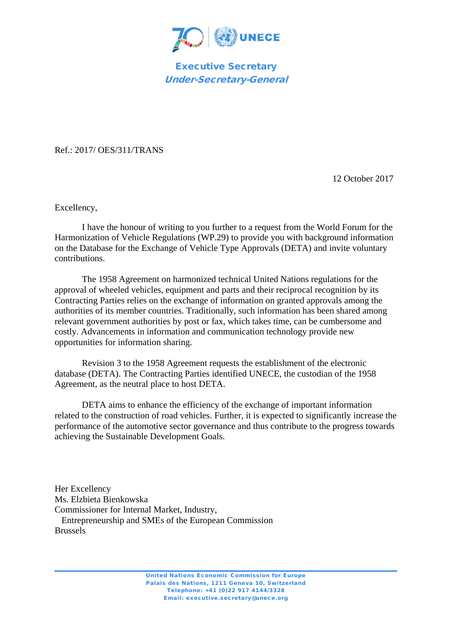

Executive Secretary Under-Secretary-General

Ref.: 2017/ OES/311/TRANS

12 October 2017

Excellency,

I have the honour of writing to you further to a request from the World Forum for the Harmonization of Vehicle Regulations (WP.29) to provide you with background information on the Database for the Exchange of Vehicle Type Approvals (DETA) and invite voluntary contributions.

The 1958 Agreement on harmonized technical United Nations regulations for the approval of wheeled vehicles, equipment and parts and their reciprocal recognition by its Contracting Parties relies on the exchange of information on granted approvals among the authorities of its member countries. Traditionally, such information has been shared among relevant government authorities by post or fax, which takes time, can be cumbersome and costly. Advancements in information and communication technology provide new opportunities for information sharing.

Revision 3 to the 1958 Agreement requests the establishment of the electronic database (DETA). The Contracting Parties identified UNECE, the custodian of the 1958 Agreement, as the neutral place to host DETA.

DETA aims to enhance the efficiency of the exchange of important information related to the construction of road vehicles. Further, it is expected to significantly increase the performance of the automotive sector governance and thus contribute to the progress towards achieving the Sustainable Development Goals.

Her Excellency Ms. Elzbieta Bienkowska Commissioner for Internal Market, Industry, Entrepreneurship and SMEs of the European Commission Brussels